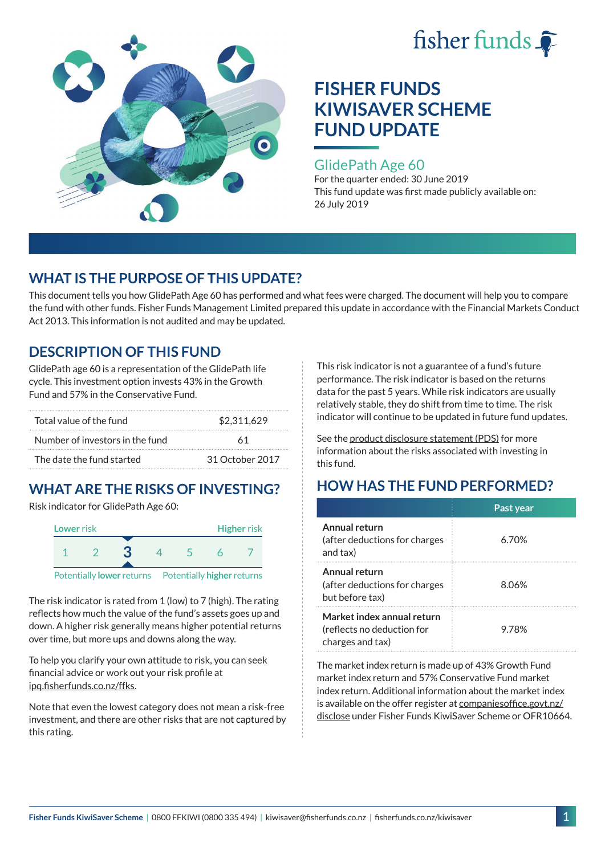



#### GlidePath Age 60

For the quarter ended: 30 June 2019 This fund update was first made publicly available on: 26 July 2019

## **WHAT IS THE PURPOSE OF THIS UPDATE?**

This document tells you how GlidePath Age 60 has performed and what fees were charged. The document will help you to compare the fund with other funds. Fisher Funds Management Limited prepared this update in accordance with the Financial Markets Conduct Act 2013. This information is not audited and may be updated.

## **DESCRIPTION OF THIS FUND**

GlidePath age 60 is a representation of the GlidePath life cycle. This investment option invests 43% in the Growth Fund and 57% in the Conservative Fund.

| Total value of the fund         | \$2,311,629     |  |
|---------------------------------|-----------------|--|
| Number of investors in the fund | 61              |  |
| The date the fund started       | 31 October 2017 |  |

## **WHAT ARE THE RISKS OF INVESTING?**

Risk indicator for GlidePath Age 60:



Potentially **lower** returns Potentially **higher** returns

The risk indicator is rated from 1 (low) to 7 (high). The rating reflects how much the value of the fund's assets goes up and down. A higher risk generally means higher potential returns over time, but more ups and downs along the way.

To help you clarify your own attitude to risk, you can seek financial advice or work out your risk profile at [ipq.fisherfunds.co.nz/ffks](https://ipq.fisherfunds.co.nz/ffks).

Note that even the lowest category does not mean a risk-free investment, and there are other risks that are not captured by this rating.

This risk indicator is not a guarantee of a fund's future performance. The risk indicator is based on the returns data for the past 5 years. While risk indicators are usually relatively stable, they do shift from time to time. The risk indicator will continue to be updated in future fund updates.

See the [product disclosure statement \(PDS\)](https://fisherfunds.co.nz/assets/PDS/Fisher-Funds-KiwiSaver-Scheme-PDS.pdf) for more information about the risks associated with investing in this fund.

# **HOW HAS THE FUND PERFORMED?**

|                                                                              | Past year |
|------------------------------------------------------------------------------|-----------|
| Annual return<br>(after deductions for charges<br>and tax)                   | 6.70%     |
| Annual return<br>(after deductions for charges<br>but before tax)            | 8.06%     |
| Market index annual return<br>(reflects no deduction for<br>charges and tax) | 9.78%     |

The market index return is made up of 43% Growth Fund market index return and 57% Conservative Fund market index return. Additional information about the market index is available on the offer register at [companiesoffice.govt.nz/](http://companiesoffice.govt.nz/disclose) [disclose](http://companiesoffice.govt.nz/disclose) under Fisher Funds KiwiSaver Scheme or OFR10664.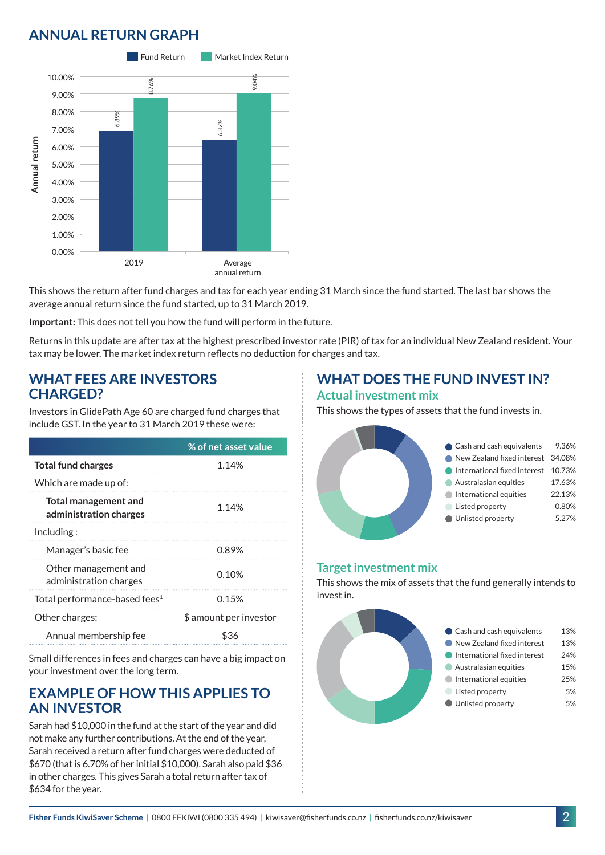## **ANNUAL RETURN GRAPH**



This shows the return after fund charges and tax for each year ending 31 March since the fund started. The last bar shows the average annual return since the fund started, up to 31 March 2019.

**Important:** This does not tell you how the fund will perform in the future.

Returns in this update are after tax at the highest prescribed investor rate (PIR) of tax for an individual New Zealand resident. Your tax may be lower. The market index return reflects no deduction for charges and tax.

#### **WHAT FEES ARE INVESTORS CHARGED?**

Investors in GlidePath Age 60 are charged fund charges that include GST. In the year to 31 March 2019 these were:

|                                                | % of net asset value   |
|------------------------------------------------|------------------------|
| <b>Total fund charges</b>                      | 1.14%                  |
| Which are made up of:                          |                        |
| Total management and<br>administration charges | 1.14%                  |
| Including:                                     |                        |
| Manager's basic fee                            | 0.89%                  |
| Other management and<br>administration charges | 0.10%                  |
| Total performance-based fees <sup>1</sup>      | 0.15%                  |
| Other charges:                                 | \$ amount per investor |
| Annual membership fee                          | 836                    |

Small differences in fees and charges can have a big impact on your investment over the long term.

#### **EXAMPLE OF HOW THIS APPLIES TO AN INVESTOR**

Sarah had \$10,000 in the fund at the start of the year and did not make any further contributions. At the end of the year, Sarah received a return after fund charges were deducted of \$670 (that is 6.70% of her initial \$10,000). Sarah also paid \$36 in other charges. This gives Sarah a total return after tax of \$634 for the year.

### **WHAT DOES THE FUND INVEST IN? Actual investment mix**

This shows the types of assets that the fund invests in.



#### **Target investment mix**

This shows the mix of assets that the fund generally intends to invest in.